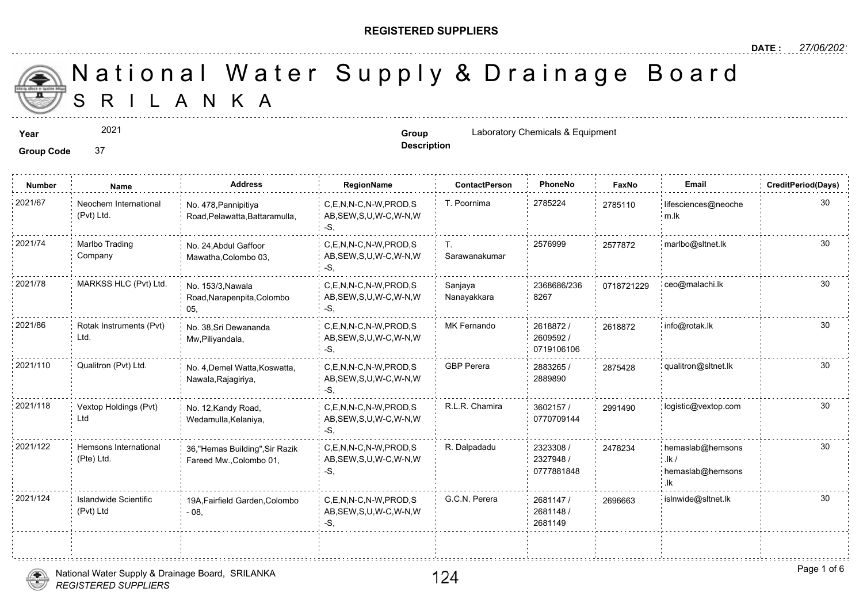#### **REGISTERED SUPPLIERS**

**Description**

A N K A National Water Supply & Drainage

**Year Group** Laboratory Chemicals & Equipment

**Group Code** 37

2021

**Number Name Address RegionName ContactPerson PhoneNo FaxNo Email CreditPeriod(Days)** 2021/67 in Neochem International in No. 478, Pannipitiva C,E,N,N-C,N-W,PROD,S T. Poornima 2785224 278511 AB,SEW,S,U,W-C,W-N,W -S, No. 478,Pannipitiya Road,Pelawatta,Battaramulla, Neochem International (Pvt) Ltd. 27851<sup></sup> T. 2576999 257787 Sarawanakumar 2021/74 : Marlbo Trading No. 24,Abdul Gaffoor C,E,N,N-C,N-W,PROD,S T. 2576999 257787 AB,SEW,S,U,W-C,W-N,W -S, No. 24,Abdul Gaffoor Mawatha,Colombo 03, Marlbo Trading Company 2368686/236 07187 8267 Sanjaya Nanayakkara 2021/78 MARKSS HLC (Pvt) Ltd. <sub>No. 153/3,Nawala</sub> C,E,N,N-C,N-W,PROD,S Sanjaya 2368686/236 071872 AB,SEW,S,U,W-C,W-N,W -S, No. 153/3,Nawala Road,Narapenpita,Colombo 05, 2618872 / 26188 2609592 / 0719106106 C,E,N,N-C,N-W,PROD,S MK Fernando AB,SEW,S,U,W-C,W-N,W -S, No. 38,Sri Dewananda Mw,Piliyandala, 2021/86 Rotak Instruments (Pvt) No. 38,Sri Dewananda C,E,N,N-C,N-W,PROD,S MK Fernando 2618872 / 261887 Ltd. 2883265 / 28754 2889890 C,E,N,N-C,N-W,PROD,S GBP Perera AB,SEW,S,U,W-C,W-N,W -S, 2021/110 Qualitron (Pvt) Ltd. No. 4,Demel Watta,Koswatta, C,E,N,N-C,N-W,PROD,S GBP Perera 2883265 / 287542 Nawala,Rajagiriya, 3602157 / 29914 0770709144 2021/118 Vextop Holdings (Pvt) No. 12,Kandy Road, C,E,N,N-C,N-W,PROD,S R.L.R. Chamira 3602157 / 299149 AB,SEW,S,U,W-C,W-N,W -S, No. 12,Kandy Road, Wedamulla,Kelaniya, Vextop Holdings (Pvt) Ltd 2323308 / 2327948 / 0777881848 C,E,N,N-C,N-W,PROD,S R. Dalpadadu AB,SEW,S,U,W-C,W-N,W -S, 2021/122 Hemsons International 36,"Hemas Building",Sir Razik C,E,N,N-C,N-W,PROD,S R. Dalpadadu 2323308 / 24782 Fareed Mw.,Colombo 01, Hemsons International (Pte) Ltd. 247823 2681147 / 26966 2681148 / 2681149 C,E,N,N-C,N-W,PROD,S G.C.N. Perera AB,SEW,S,U,W-C,W-N,W -S, 2021/124 Islandwide Scientific 19A,Fairfield Garden,Colombo C,E,N,N-C,N-W,PROD,S G.C.N. Perera 2681147 / 269666 - 08, Islandwide Scientific (Pvt) Ltd



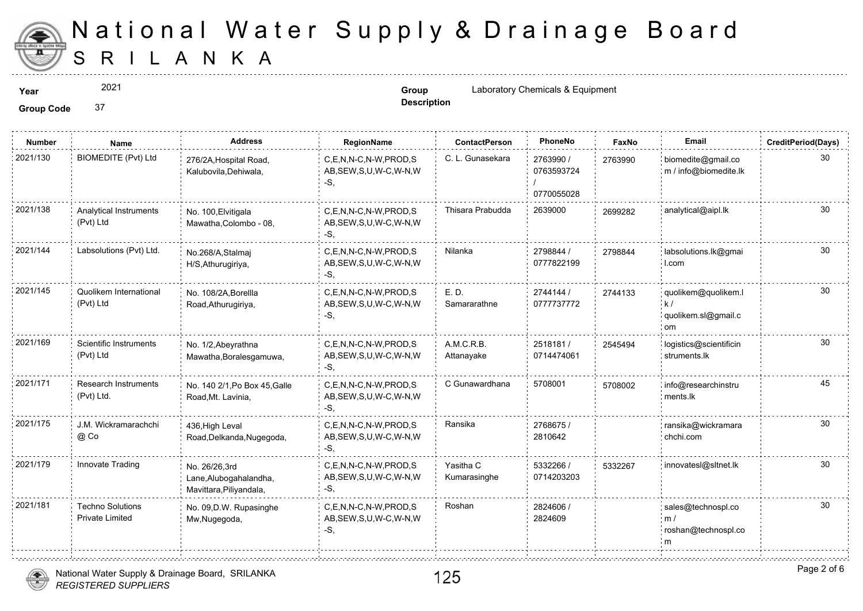

 $1.1.1.1.1.1.1$ 

2021

**Description**

**Year Group** Laboratory Chemicals & Equipment

| <b>Number</b> | Name                                              | <b>Address</b>                                                     | RegionName                                                   | <b>ContactPerson</b>      | PhoneNo                               | Faxl   |
|---------------|---------------------------------------------------|--------------------------------------------------------------------|--------------------------------------------------------------|---------------------------|---------------------------------------|--------|
| 2021/130      | BIOMEDITE (Pvt) Ltd                               | 276/2A, Hospital Road,<br>Kalubovila, Dehiwala,                    | C,E,N,N-C,N-W,PROD,S<br>AB, SEW, S, U, W-C, W-N, W<br>-S.    | C. L. Gunasekara          | 2763990 /<br>0763593724<br>0770055028 | 276399 |
| 2021/138      | Analytical Instruments<br>(Pvt) Ltd               | No. 100, Elvitigala<br>Mawatha, Colombo - 08,                      | C,E,N,N-C,N-W,PROD,S<br>AB, SEW, S, U, W-C, W-N, W<br>$-S$ . | Thisara Prabudda          | 2639000                               | 269928 |
| 2021/144      | Labsolutions (Pvt) Ltd.                           | No.268/A, Stalmaj<br>H/S, Athurugiriya,                            | C,E,N,N-C,N-W,PROD,S<br>AB, SEW, S, U, W-C, W-N, W<br>-S,    | Nilanka                   | 2798844 /<br>0777822199               | 279884 |
| 2021/145      | Quolikem International<br>(Pvt) Ltd               | No. 108/2A, Borellla<br>Road, Athurugiriya,                        | C,E,N,N-C,N-W,PROD,S<br>AB, SEW, S, U, W-C, W-N, W<br>-S.    | E.D.<br>Samararathne      | 2744144 /<br>0777737772               | 274413 |
| 2021/169      | Scientific Instruments<br>(Pvt) Ltd               | No. 1/2, Abeyrathna<br>Mawatha, Boralesgamuwa,                     | C,E,N,N-C,N-W,PROD,S<br>AB, SEW, S, U, W-C, W-N, W<br>-S.    | A.M.C.R.B.<br>Attanayake  | 2518181 /<br>0714474061               | 254549 |
| 2021/171      | <b>Research Instruments</b><br>(Pvt) Ltd.         | No. 140 2/1, Po Box 45, Galle<br>Road, Mt. Lavinia,                | C,E,N,N-C,N-W,PROD,S<br>AB, SEW, S, U, W-C, W-N, W<br>-S,    | C Gunawardhana            | 5708001                               | 570800 |
| 2021/175      | J.M. Wickramarachchi<br>@ Co                      | 436, High Leval<br>Road, Delkanda, Nugegoda,                       | C.E.N.N-C.N-W.PROD.S<br>AB, SEW, S, U, W-C, W-N, W<br>-S,    | Ransika                   | 2768675 /<br>2810642                  |        |
| 2021/179      | Innovate Trading                                  | No. 26/26,3rd<br>Lane, Alubogahalandha,<br>Mavittara, Piliyandala, | C,E,N,N-C,N-W,PROD,S<br>AB, SEW, S, U, W-C, W-N, W<br>$-S$ . | Yasitha C<br>Kumarasinghe | 5332266 /<br>0714203203               | 533226 |
| 2021/181      | <b>Techno Solutions</b><br><b>Private Limited</b> | No. 09, D.W. Rupasinghe<br>Mw, Nugegoda,                           | C,E,N,N-C,N-W,PROD,S<br>AB, SEW, S, U, W-C, W-N, W<br>-S.    | Roshan                    | 2824606 /<br>2824609                  |        |



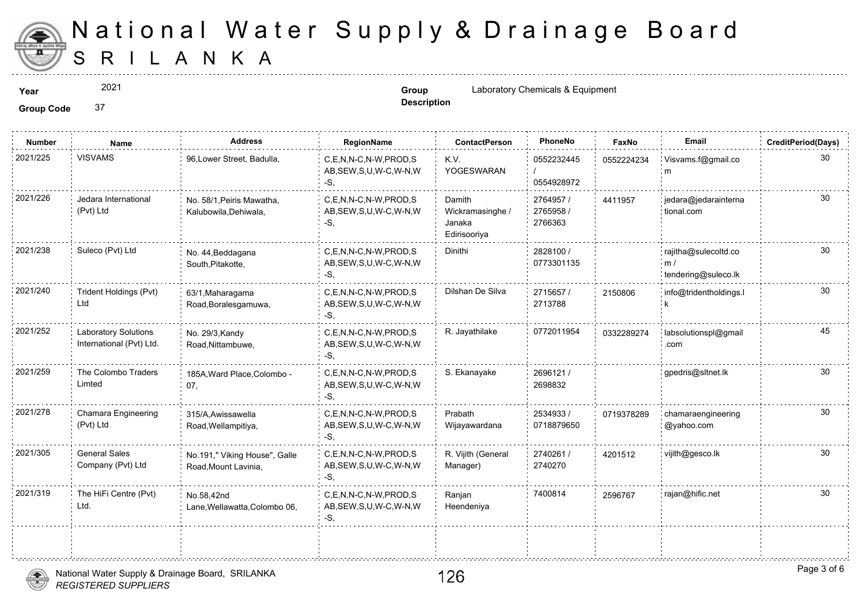

2021

**Description**

**Year Solution 2021 Group Group Laboratory Chemicals & Equipment Group Group Laboratory Chemicals & Equipment** 

| <b>Number</b> | Name                                             | <b>Address</b>                                        | RegionName                                                   | <b>ContactPerson</b>                                 | PhoneNo                           | Fax    |
|---------------|--------------------------------------------------|-------------------------------------------------------|--------------------------------------------------------------|------------------------------------------------------|-----------------------------------|--------|
| 2021/225      | <b>VISVAMS</b>                                   | 96, Lower Street, Badulla,                            | C,E,N,N-C,N-W,PROD,S<br>AB, SEW, S, U, W-C, W-N, W<br>-S.    | K.V<br>YOGESWARAN                                    | 0552232445<br>0554928972          | 055222 |
| 2021/226      | Jedara International<br>(Pvt) Ltd                | No. 58/1, Peiris Mawatha,<br>Kalubowila, Dehiwala,    | C.E.N.N-C.N-W.PROD.S<br>AB, SEW, S, U, W-C, W-N, W<br>-S.    | Damith<br>Wickramasinghe /<br>Janaka<br>Edirisooriya | 2764957 /<br>2765958 /<br>2766363 | 441195 |
| 2021/238      | Suleco (Pvt) Ltd                                 | No. 44, Beddagana<br>South, Pitakotte,                | C,E,N,N-C,N-W,PROD,S<br>AB, SEW, S, U, W-C, W-N, W<br>-S,    | Dinithi                                              | 2828100 /<br>0773301135           |        |
| 2021/240      | Trident Holdings (Pvt)<br>Ltd                    | 63/1, Maharagama<br>Road, Boralesgamuwa,              | C.E.N.N-C.N-W.PROD.S<br>AB, SEW, S, U, W-C, W-N, W<br>-S,    | Dilshan De Silva                                     | 2715657/<br>2713788               | 215080 |
| 2021/252      | Laboratory Solutions<br>International (Pvt) Ltd. | No. 29/3, Kandy<br>Road, Nittambuwe,                  | C,E,N,N-C,N-W,PROD,S<br>AB, SEW, S, U, W-C, W-N, W<br>-S.    | R. Jayathilake                                       | 0772011954                        | 033228 |
| 2021/259      | The Colombo Traders<br>Limted                    | 185A, Ward Place, Colombo -<br>07,                    | C.E.N.N-C.N-W.PROD.S<br>AB, SEW, S, U, W-C, W-N, W<br>$-S$ . | S. Ekanayake                                         | 2696121 /<br>2698832              |        |
| 2021/278      | Chamara Engineering<br>(Pvt) Ltd                 | 315/A, Awissawella<br>Road, Wellampitiya,             | C,E,N,N-C,N-W,PROD,S<br>AB, SEW, S, U, W-C, W-N, W<br>$-S.$  | Prabath<br>Wijayawardana                             | 2534933/<br>0718879650            | 071937 |
| 2021/305      | <b>General Sales</b><br>Company (Pvt) Ltd        | No.191," Viking House", Galle<br>Road, Mount Lavinia, | C.E.N.N-C.N-W.PROD.S<br>AB, SEW, S, U, W-C, W-N, W<br>-S.    | R. Vijith (General<br>Manager)                       | 2740261 /<br>2740270              | 420151 |
| 2021/319      | The HiFi Centre (Pvt)<br>Ltd.                    | No.58,42nd<br>Lane, Wellawatta, Colombo 06,           | C,E,N,N-C,N-W,PROD,S<br>AB, SEW, S, U, W-C, W-N, W<br>-S,    | Ranjan<br>Heendeniya                                 | 7400814                           | 259676 |
|               |                                                  |                                                       |                                                              |                                                      |                                   |        |

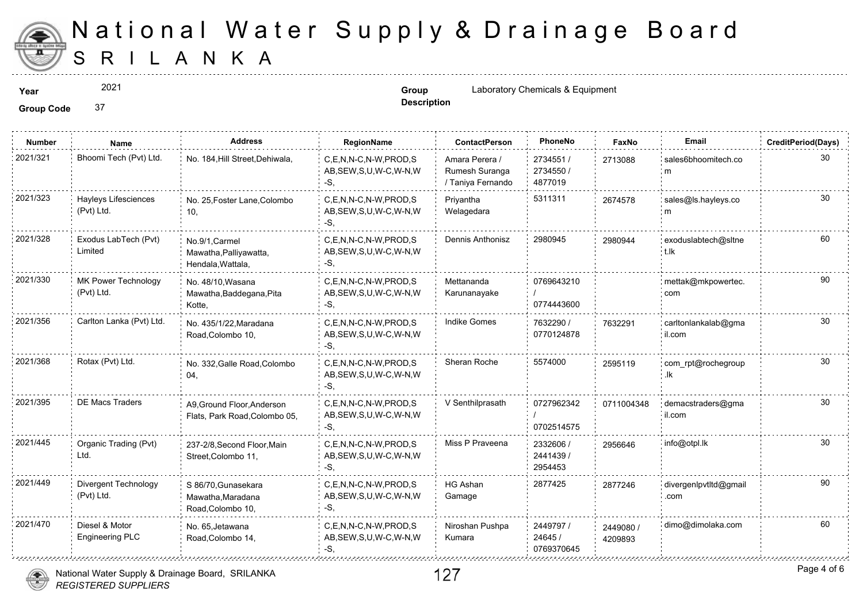

2021

**Description**

**Year Group** Laboratory Chemicals & Equipment

| <b>Number</b> | Name                                     | <b>Address</b>                                                | RegionName                                                   | <b>ContactPerson</b>                                  | PhoneNo                            | Faxl             |
|---------------|------------------------------------------|---------------------------------------------------------------|--------------------------------------------------------------|-------------------------------------------------------|------------------------------------|------------------|
| 2021/321      | Bhoomi Tech (Pvt) Ltd.                   | No. 184, Hill Street, Dehiwala,                               | C,E,N,N-C,N-W,PROD,S<br>AB, SEW, S, U, W-C, W-N, W<br>$-S$ , | Amara Perera /<br>Rumesh Suranga<br>/ Taniya Fernando | 2734551 /<br>2734550 /<br>4877019  | 271308           |
| 2021/323      | Hayleys Lifesciences<br>(Pvt) Ltd.       | No. 25, Foster Lane, Colombo<br>10,                           | C,E,N,N-C,N-W,PROD,S<br>AB, SEW, S, U, W-C, W-N, W<br>-S,    | Priyantha<br>Welagedara                               | 5311311                            | 267457           |
| 2021/328      | Exodus LabTech (Pvt)<br>Limited          | No.9/1, Carmel<br>Mawatha, Palliyawatta,<br>Hendala, Wattala, | C,E,N,N-C,N-W,PROD,S<br>AB, SEW, S, U, W-C, W-N, W<br>-S,    | Dennis Anthonisz                                      | 2980945                            | 298094           |
| 2021/330      | MK Power Technology<br>(Pvt) Ltd.        | No. 48/10, Wasana<br>Mawatha, Baddegana, Pita<br>Kotte,       | C.E.N.N-C.N-W.PROD.S<br>AB, SEW, S, U, W-C, W-N, W<br>-S.    | Mettananda<br>Karunanayake                            | 0769643210<br>0774443600           |                  |
| 2021/356      | Carlton Lanka (Pvt) Ltd.                 | No. 435/1/22, Maradana<br>Road, Colombo 10,                   | C.E.N.N-C.N-W.PROD.S<br>AB, SEW, S, U, W-C, W-N, W<br>-S.    | <b>Indike Gomes</b>                                   | 7632290 /<br>0770124878            | 763229           |
| 2021/368      | Rotax (Pvt) Ltd.                         | No. 332, Galle Road, Colombo<br>04,                           | C.E.N.N-C.N-W.PROD.S<br>AB, SEW, S, U, W-C, W-N, W<br>-S.    | Sheran Roche                                          | 5574000                            | 25951            |
| 2021/395      | <b>DE Macs Traders</b>                   | A9, Ground Floor, Anderson<br>Flats, Park Road, Colombo 05,   | C.E.N.N-C.N-W.PROD.S<br>AB, SEW, S, U, W-C, W-N, W<br>-S.    | V Senthilprasath                                      | 0727962342<br>0702514575           | 071100           |
| 2021/445      | Organic Trading (Pvt)<br>Ltd.            | 237-2/8, Second Floor, Main<br>Street, Colombo 11,            | C.E.N.N-C.N-W.PROD.S<br>AB, SEW, S, U, W-C, W-N, W<br>-S.    | Miss P Praveena                                       | 2332606 /<br>2441439/<br>2954453   | 295664           |
| 2021/449      | Divergent Technology<br>(Pvt) Ltd.       | S 86/70, Gunasekara<br>Mawatha, Maradana<br>Road, Colombo 10, | C.E.N.N-C.N-W.PROD.S<br>AB, SEW, S, U, W-C, W-N, W<br>-S,    | <b>HG Ashan</b><br>Gamage                             | 2877425                            | 287724           |
| 2021/470      | Diesel & Motor<br><b>Engineering PLC</b> | No. 65, Jetawana<br>Road, Colombo 14,                         | C.E.N.N-C.N-W.PROD.S<br>AB, SEW, S, U, W-C, W-N, W<br>-S.    | Niroshan Pushpa<br>Kumara                             | 2449797 /<br>24645 /<br>0769370645 | 244908<br>420989 |
|               |                                          |                                                               |                                                              |                                                       |                                    |                  |



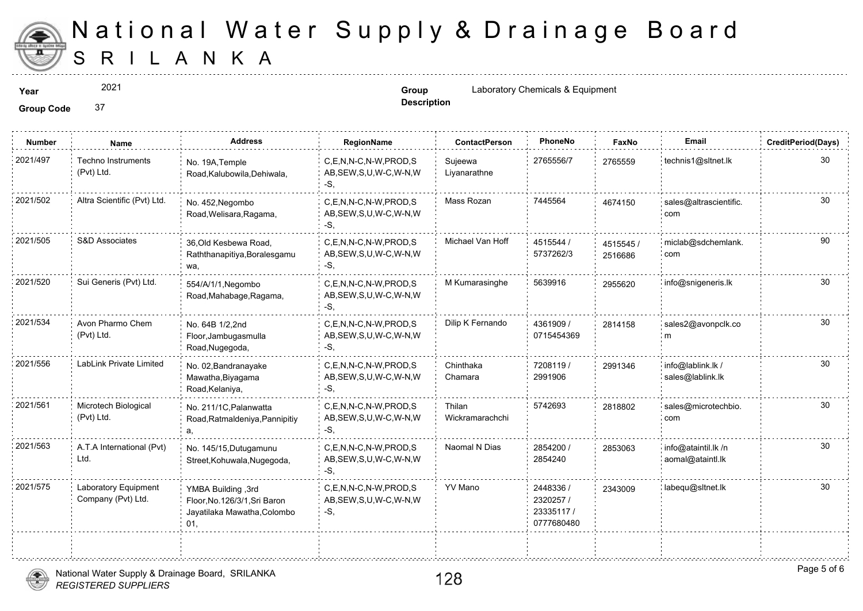

2021

**Description**

**Year Group** Laboratory Chemicals & Equipment

| <b>Number</b> | <b>Name</b>                                | <b>Address</b>                                                                            | RegionName                                                   | <b>ContactPerson</b>      | PhoneNo                                           | Faxl             |
|---------------|--------------------------------------------|-------------------------------------------------------------------------------------------|--------------------------------------------------------------|---------------------------|---------------------------------------------------|------------------|
| 2021/497      | <b>Techno Instruments</b><br>(Pvt) Ltd.    | No. 19A, Temple<br>Road, Kalubowila, Dehiwala,                                            | C,E,N,N-C,N-W,PROD,S<br>AB, SEW, S, U, W-C, W-N, W<br>-S,    | Sujeewa<br>Liyanarathne   | 2765556/7                                         | 276555           |
| 2021/502      | Altra Scientific (Pvt) Ltd.                | No. 452, Negombo<br>Road, Welisara, Ragama,                                               | C.E.N.N-C.N-W.PROD.S<br>AB, SEW, S, U, W-C, W-N, W<br>-S,    | Mass Rozan                | 7445564                                           | 467415           |
| 2021/505      | S&D Associates                             | 36, Old Kesbewa Road,<br>Raththanapitiya, Boralesgamu<br>wa,                              | C.E.N.N-C.N-W.PROD.S<br>AB, SEW, S, U, W-C, W-N, W<br>-S,    | Michael Van Hoff          | 4515544 /<br>5737262/3                            | 451554<br>251668 |
| 2021/520      | Sui Generis (Pvt) Ltd.                     | 554/A/1/1, Negombo<br>Road, Mahabage, Ragama,                                             | C,E,N,N-C,N-W,PROD,S<br>AB, SEW, S, U, W-C, W-N, W<br>-S.    | M Kumarasinghe            | 5639916                                           | 295562           |
| 2021/534      | Avon Pharmo Chem<br>(Pvt) Ltd.             | No. 64B 1/2,2nd<br>Floor, Jambugasmulla<br>Road, Nugegoda,                                | C,E,N,N-C,N-W,PROD,S<br>AB, SEW, S, U, W-C, W-N, W<br>$-S$ . | Dilip K Fernando          | 4361909 /<br>0715454369                           | 281415           |
| 2021/556      | LabLink Private Limited                    | No. 02, Bandranayake<br>Mawatha, Biyagama<br>Road, Kelaniya,                              | C,E,N,N-C,N-W,PROD,S<br>AB, SEW, S, U, W-C, W-N, W<br>-S.    | Chinthaka<br>Chamara      | 7208119 /<br>2991906                              | 299134           |
| 2021/561      | Microtech Biological<br>(Pvt) Ltd.         | No. 211/1C, Palanwatta<br>Road, Ratmaldeniya, Pannipitiy                                  | C,E,N,N-C,N-W,PROD,S<br>AB, SEW, S, U, W-C, W-N, W<br>-S.    | Thilan<br>Wickramarachchi | 5742693                                           | 281880           |
| 2021/563      | A.T.A International (Pvt)<br>Ltd.          | No. 145/15, Dutugamunu<br>Street, Kohuwala, Nugegoda,                                     | C.E.N.N-C.N-W.PROD.S<br>AB, SEW, S, U, W-C, W-N, W<br>-S,    | Naomal N Dias             | 2854200 /<br>2854240                              | 285306           |
| 2021/575      | Laboratory Equipment<br>Company (Pvt) Ltd. | YMBA Building, 3rd<br>Floor, No. 126/3/1, Sri Baron<br>Jayatilaka Mawatha, Colombo<br>01, | C.E.N.N-C.N-W.PROD.S<br>AB, SEW, S, U, W-C, W-N, W<br>-S,    | YV Mano                   | 2448336 /<br>2320257/<br>23335117 /<br>0777680480 | 234300           |
|               |                                            |                                                                                           |                                                              |                           |                                                   |                  |